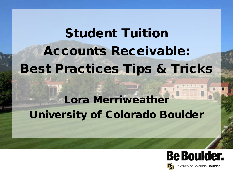Student Tuition Accounts Receivable: Best Practices Tips & Tricks Lora Merriweather University of Colorado Boulder

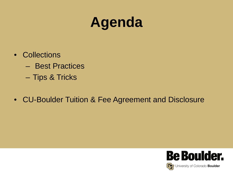# **Agenda**

- Collections
	- Best Practices
	- Tips & Tricks
- CU-Boulder Tuition & Fee Agreement and Disclosure

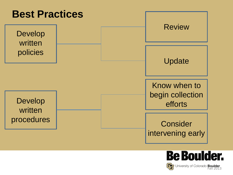

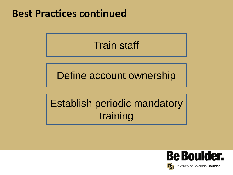#### **Best Practices continued**

#### Train staff

Define account ownership

# Establish periodic mandatory training

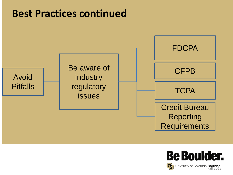#### **Best Practices continued**



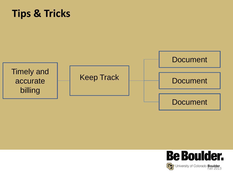#### **Tips & Tricks**



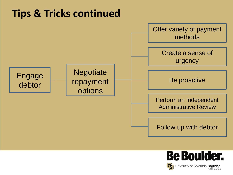## **Tips & Tricks continued**



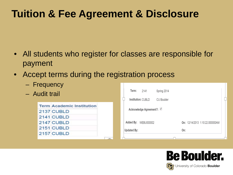## **Tuition & Fee Agreement & Disclosure**

- All students who register for classes are responsible for payment
- Accept terms during the registration process
	- Frequency
	- Audit trail

| <b>Term Academic Institution</b> |
|----------------------------------|
| 2137 CUBLD                       |
| 2141 CUBLD                       |
| 2147 CUBLD                       |
| 2151 CUBLD                       |
| 2157 CUBLD                       |

| Term:                   | 2141                 | Spring 2014 |     |                                 |  |  |
|-------------------------|----------------------|-------------|-----|---------------------------------|--|--|
| Institution: CUBLD      |                      | CU Boulder  |     |                                 |  |  |
| Acknowledge Agreement?: |                      |             |     |                                 |  |  |
|                         | Added By: WEBU000002 |             |     | On: 12/14/2013 1:10:22.000000AM |  |  |
| <b>Updated By:</b>      |                      |             | On: |                                 |  |  |
|                         |                      |             |     |                                 |  |  |

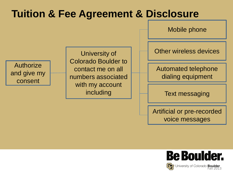## **Tuition & Fee Agreement & Disclosure**

Mobile phone

Authorize and give my consent

University of Colorado Boulder to contact me on all numbers associated with my account including

Other wireless devices

Automated telephone dialing equipment

Text messaging

Artificial or pre-recorded voice messages

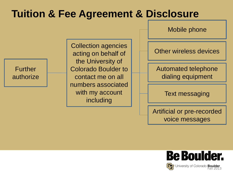## **Tuition & Fee Agreement & Disclosure**

Mobile phone

Further authorize

Collection agencies acting on behalf of the University of Colorado Boulder to contact me on all numbers associated with my account including

Other wireless devices

Automated telephone dialing equipment

Text messaging

Artificial or pre-recorded voice messages

![](_page_9_Picture_8.jpeg)